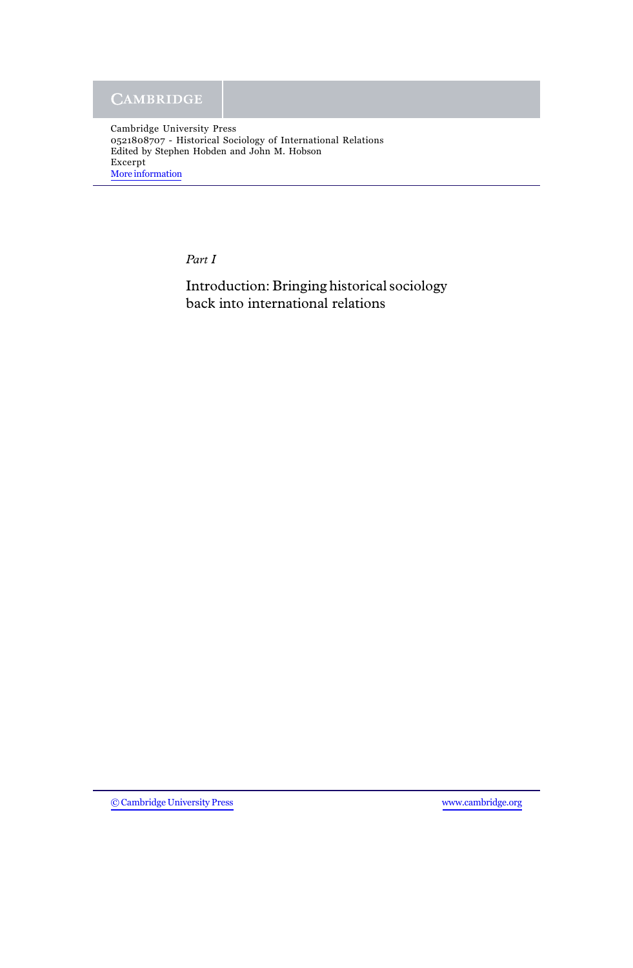# *Part I*

Introduction: Bringing historical sociology back into international relations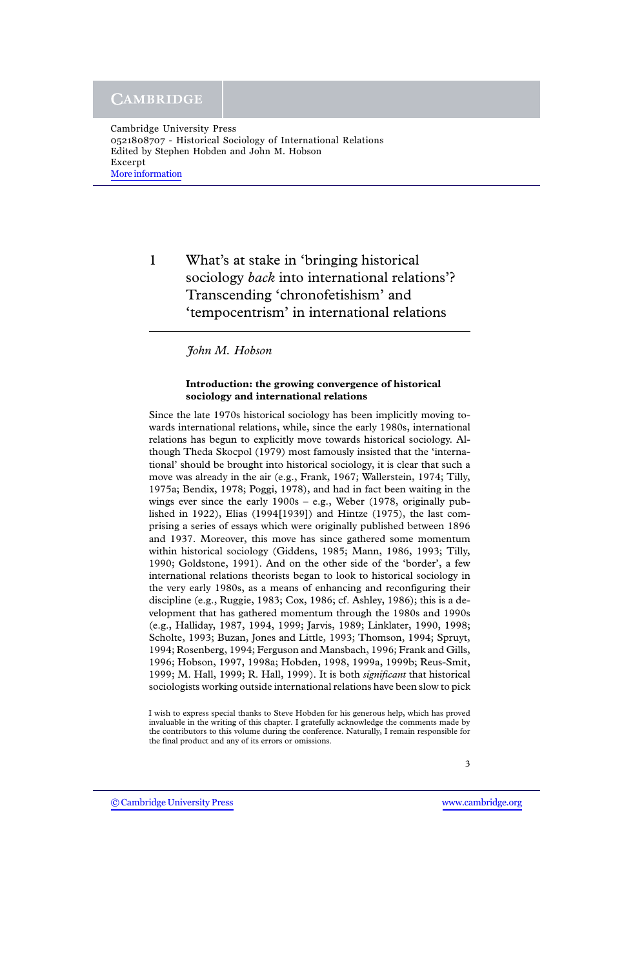> 1 What's at stake in 'bringing historical sociology *back* into international relations'? Transcending 'chronofetishism' and 'tempocentrism' in international relations

> > *John M. Hobson*

# **Introduction: the growing convergence of historical sociology and international relations**

Since the late 1970s historical sociology has been implicitly moving towards international relations, while, since the early 1980s, international relations has begun to explicitly move towards historical sociology. Although Theda Skocpol (1979) most famously insisted that the 'international' should be brought into historical sociology, it is clear that such a move was already in the air (e.g., Frank, 1967; Wallerstein, 1974; Tilly, 1975a; Bendix, 1978; Poggi, 1978), and had in fact been waiting in the wings ever since the early 1900s – e.g., Weber (1978, originally published in 1922), Elias (1994[1939]) and Hintze (1975), the last comprising a series of essays which were originally published between 1896 and 1937. Moreover, this move has since gathered some momentum within historical sociology (Giddens, 1985; Mann, 1986, 1993; Tilly, 1990; Goldstone, 1991). And on the other side of the 'border', a few international relations theorists began to look to historical sociology in the very early 1980s, as a means of enhancing and reconfiguring their discipline (e.g., Ruggie, 1983; Cox, 1986; cf. Ashley, 1986); this is a development that has gathered momentum through the 1980s and 1990s (e.g., Halliday, 1987, 1994, 1999; Jarvis, 1989; Linklater, 1990, 1998; Scholte, 1993; Buzan, Jones and Little, 1993; Thomson, 1994; Spruyt, 1994; Rosenberg, 1994; Ferguson and Mansbach, 1996; Frank and Gills, 1996; Hobson, 1997, 1998a; Hobden, 1998, 1999a, 1999b; Reus-Smit, 1999; M. Hall, 1999; R. Hall, 1999). It is both *significant* that historical sociologists working outside international relations have been slow to pick

I wish to express special thanks to Steve Hobden for his generous help, which has proved invaluable in the writing of this chapter. I gratefully acknowledge the comments made by the contributors to this volume during the conference. Naturally, I remain responsible for the final product and any of its errors or omissions.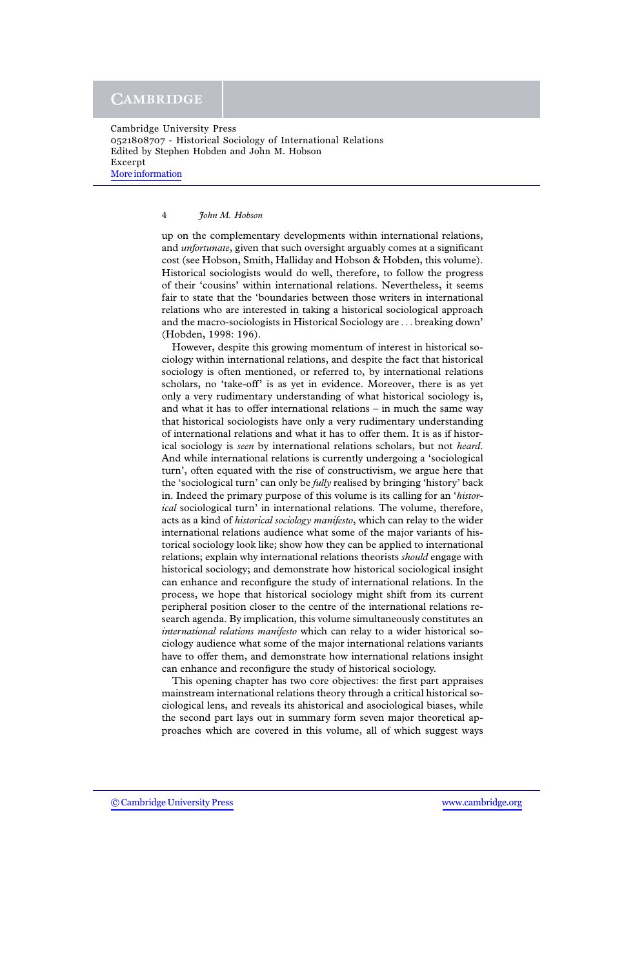#### 4 *John M. Hobson*

up on the complementary developments within international relations, and *unfortunate*, given that such oversight arguably comes at a significant cost (see Hobson, Smith, Halliday and Hobson & Hobden, this volume). Historical sociologists would do well, therefore, to follow the progress of their 'cousins' within international relations. Nevertheless, it seems fair to state that the 'boundaries between those writers in international relations who are interested in taking a historical sociological approach and the macro-sociologists in Historical Sociology are ... breaking down' (Hobden, 1998: 196).

However, despite this growing momentum of interest in historical sociology within international relations, and despite the fact that historical sociology is often mentioned, or referred to, by international relations scholars, no 'take-off' is as yet in evidence. Moreover, there is as yet only a very rudimentary understanding of what historical sociology is, and what it has to offer international relations – in much the same way that historical sociologists have only a very rudimentary understanding of international relations and what it has to offer them. It is as if historical sociology is *seen* by international relations scholars, but not *heard*. And while international relations is currently undergoing a 'sociological turn', often equated with the rise of constructivism, we argue here that the 'sociological turn' can only be *fully* realised by bringing 'history' back in. Indeed the primary purpose of this volume is its calling for an '*historical* sociological turn' in international relations. The volume, therefore, acts as a kind of *historical sociology manifesto*, which can relay to the wider international relations audience what some of the major variants of historical sociology look like; show how they can be applied to international relations; explain why international relations theorists *should* engage with historical sociology; and demonstrate how historical sociological insight can enhance and reconfigure the study of international relations. In the process, we hope that historical sociology might shift from its current peripheral position closer to the centre of the international relations research agenda. By implication, this volume simultaneously constitutes an *international relations manifesto* which can relay to a wider historical sociology audience what some of the major international relations variants have to offer them, and demonstrate how international relations insight can enhance and reconfigure the study of historical sociology.

This opening chapter has two core objectives: the first part appraises mainstream international relations theory through a critical historical sociological lens, and reveals its ahistorical and asociological biases, while the second part lays out in summary form seven major theoretical approaches which are covered in this volume, all of which suggest ways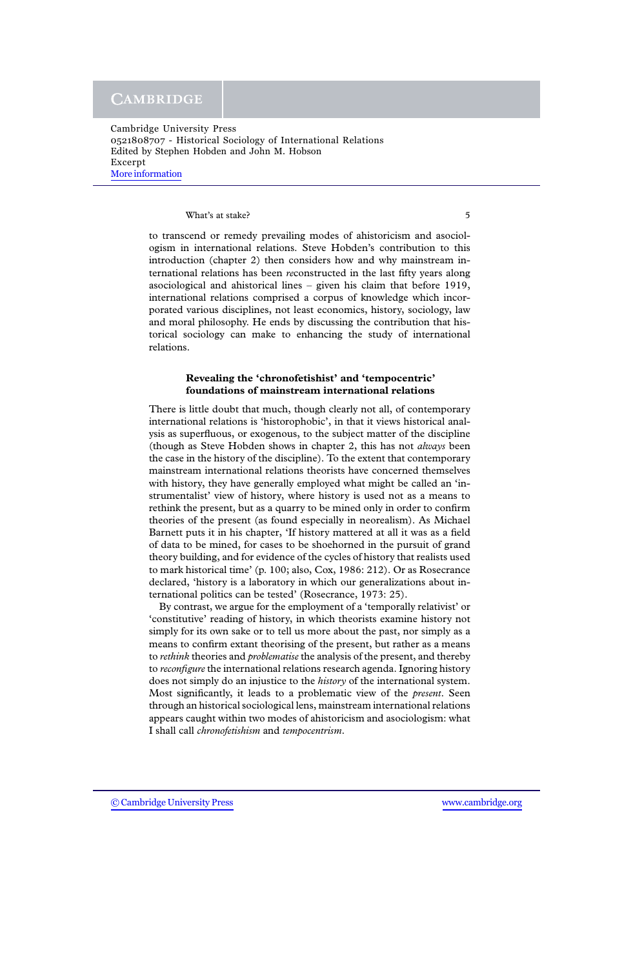What's at stake? 5

to transcend or remedy prevailing modes of ahistoricism and asociologism in international relations. Steve Hobden's contribution to this introduction (chapter 2) then considers how and why mainstream international relations has been *re*constructed in the last fifty years along asociological and ahistorical lines – given his claim that before 1919, international relations comprised a corpus of knowledge which incorporated various disciplines, not least economics, history, sociology, law and moral philosophy. He ends by discussing the contribution that historical sociology can make to enhancing the study of international relations.

# **Revealing the 'chronofetishist' and 'tempocentric' foundations of mainstream international relations**

There is little doubt that much, though clearly not all, of contemporary international relations is 'historophobic', in that it views historical analysis as superfluous, or exogenous, to the subject matter of the discipline (though as Steve Hobden shows in chapter 2, this has not *always* been the case in the history of the discipline). To the extent that contemporary mainstream international relations theorists have concerned themselves with history, they have generally employed what might be called an 'instrumentalist' view of history, where history is used not as a means to rethink the present, but as a quarry to be mined only in order to confirm theories of the present (as found especially in neorealism). As Michael Barnett puts it in his chapter, 'If history mattered at all it was as a field of data to be mined, for cases to be shoehorned in the pursuit of grand theory building, and for evidence of the cycles of history that realists used to mark historical time' (p. 100; also, Cox, 1986: 212). Or as Rosecrance declared, 'history is a laboratory in which our generalizations about international politics can be tested' (Rosecrance, 1973: 25).

By contrast, we argue for the employment of a 'temporally relativist' or 'constitutive' reading of history, in which theorists examine history not simply for its own sake or to tell us more about the past, nor simply as a means to confirm extant theorising of the present, but rather as a means to *rethink* theories and *problematise* the analysis of the present, and thereby to *reconfigure* the international relations research agenda. Ignoring history does not simply do an injustice to the *history* of the international system. Most significantly, it leads to a problematic view of the *present*. Seen through an historical sociological lens, mainstream international relations appears caught within two modes of ahistoricism and asociologism: what I shall call *chronofetishism* and *tempocentrism*.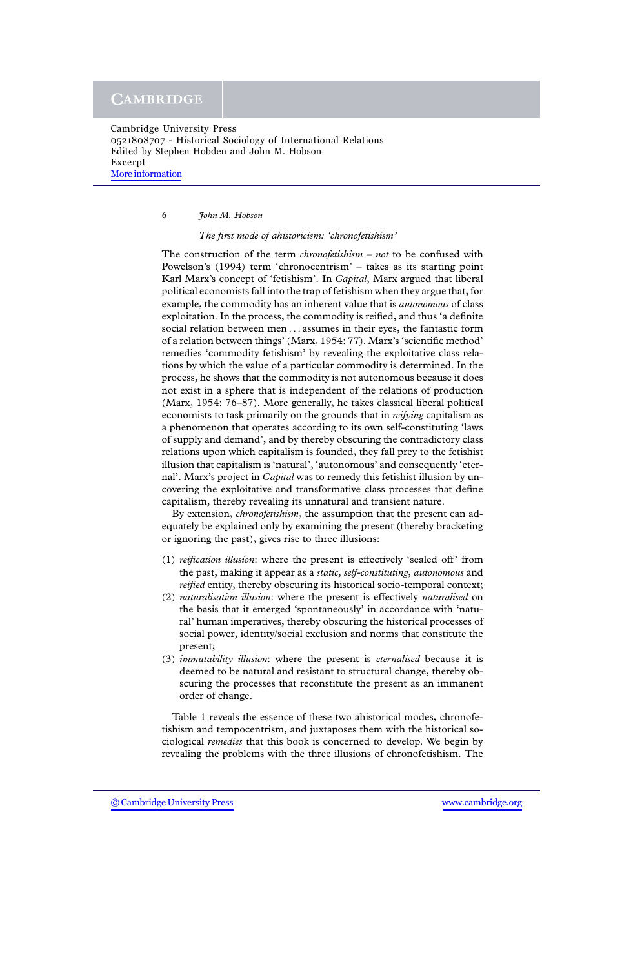6 *John M. Hobson*

*The first mode of ahistoricism: 'chronofetishism'*

The construction of the term *chronofetishism* – *not* to be confused with Powelson's (1994) term 'chronocentrism' – takes as its starting point Karl Marx's concept of 'fetishism'. In *Capital*, Marx argued that liberal political economists fall into the trap of fetishism when they argue that, for example, the commodity has an inherent value that is *autonomous* of class exploitation. In the process, the commodity is reified, and thus 'a definite social relation between men ... assumes in their eyes, the fantastic form of a relation between things' (Marx, 1954: 77). Marx's 'scientific method' remedies 'commodity fetishism' by revealing the exploitative class relations by which the value of a particular commodity is determined. In the process, he shows that the commodity is not autonomous because it does not exist in a sphere that is independent of the relations of production (Marx, 1954: 76–87). More generally, he takes classical liberal political economists to task primarily on the grounds that in *reifying* capitalism as a phenomenon that operates according to its own self-constituting 'laws of supply and demand', and by thereby obscuring the contradictory class relations upon which capitalism is founded, they fall prey to the fetishist illusion that capitalism is 'natural', 'autonomous' and consequently 'eternal'. Marx's project in *Capital* was to remedy this fetishist illusion by uncovering the exploitative and transformative class processes that define capitalism, thereby revealing its unnatural and transient nature.

By extension, *chronofetishism*, the assumption that the present can adequately be explained only by examining the present (thereby bracketing or ignoring the past), gives rise to three illusions:

- (1) *reification illusion*: where the present is effectively 'sealed off' from the past, making it appear as a *static*, *self-constituting*, *autonomous* and *reified* entity, thereby obscuring its historical socio-temporal context;
- (2) *naturalisation illusion*: where the present is effectively *naturalised* on the basis that it emerged 'spontaneously' in accordance with 'natural' human imperatives, thereby obscuring the historical processes of social power, identity/social exclusion and norms that constitute the present;
- (3) *immutability illusion*: where the present is *eternalised* because it is deemed to be natural and resistant to structural change, thereby obscuring the processes that reconstitute the present as an immanent order of change.

Table 1 reveals the essence of these two ahistorical modes, chronofetishism and tempocentrism, and juxtaposes them with the historical sociological *remedies* that this book is concerned to develop. We begin by revealing the problems with the three illusions of chronofetishism. The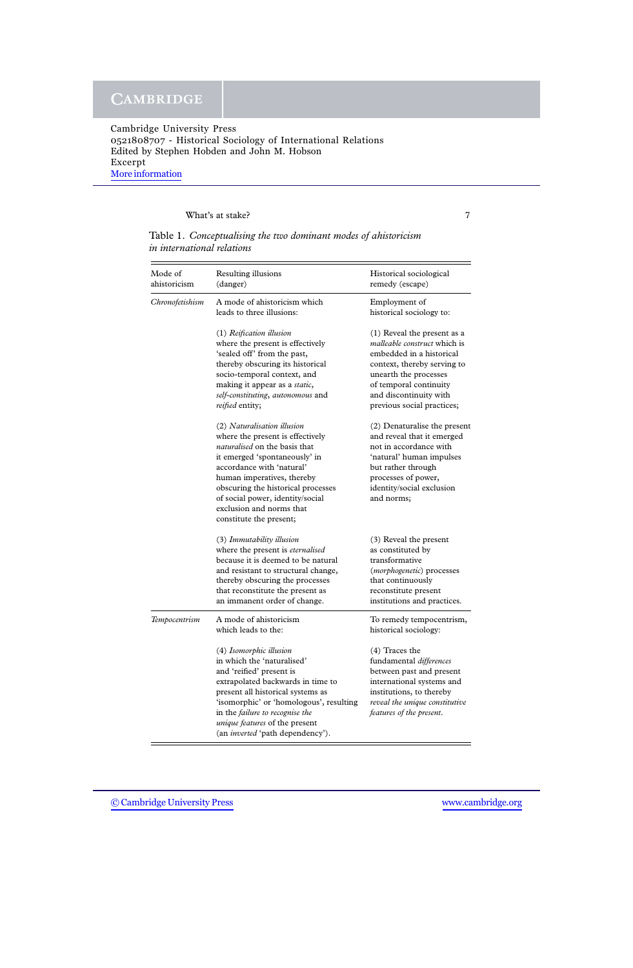## What's at stake? 7

| Table 1. Conceptualising the two dominant modes of ahistoricism |  |  |
|-----------------------------------------------------------------|--|--|
| in international relations                                      |  |  |

| Mode of<br>ahistoricism | Resulting illusions<br>(danger)                                                                                                                                                                                                                                                                                                      | Historical sociological<br>remedy (escape)                                                                                                                                                                                               |  |
|-------------------------|--------------------------------------------------------------------------------------------------------------------------------------------------------------------------------------------------------------------------------------------------------------------------------------------------------------------------------------|------------------------------------------------------------------------------------------------------------------------------------------------------------------------------------------------------------------------------------------|--|
| Chronofetishism         | A mode of ahistoricism which<br>leads to three illusions:                                                                                                                                                                                                                                                                            | Employment of<br>historical sociology to:                                                                                                                                                                                                |  |
|                         | (1) Reification illusion<br>where the present is effectively<br>'sealed off' from the past,<br>thereby obscuring its historical<br>socio-temporal context, and<br>making it appear as a static,<br>self-constituting, autonomous and<br>reified entity;                                                                              | (1) Reveal the present as a<br><i>malleable construct</i> which is<br>embedded in a historical<br>context, thereby serving to<br>unearth the processes<br>of temporal continuity<br>and discontinuity with<br>previous social practices; |  |
|                         | (2) Naturalisation illusion<br>where the present is effectively<br>naturalised on the basis that<br>it emerged 'spontaneously' in<br>accordance with 'natural'<br>human imperatives, thereby<br>obscuring the historical processes<br>of social power, identity/social<br>exclusion and norms that<br>constitute the present;        | (2) Denaturalise the present<br>and reveal that it emerged<br>not in accordance with<br>'natural' human impulses<br>but rather through<br>processes of power,<br>identity/social exclusion<br>and norms;                                 |  |
|                         | (3) Immutability illusion<br>where the present is eternalised<br>because it is deemed to be natural<br>and resistant to structural change,<br>thereby obscuring the processes<br>that reconstitute the present as<br>an immanent order of change.                                                                                    | (3) Reveal the present<br>as constituted by<br>transformative<br>(morphogenetic) processes<br>that continuously<br>reconstitute present<br>institutions and practices.                                                                   |  |
| Tempocentrism           | A mode of ahistoricism<br>which leads to the:                                                                                                                                                                                                                                                                                        | To remedy tempocentrism,<br>historical sociology:                                                                                                                                                                                        |  |
|                         | (4) Isomorphic illusion<br>in which the 'naturalised'<br>and 'reified' present is<br>extrapolated backwards in time to<br>present all historical systems as<br>'isomorphic' or 'homologous', resulting<br>in the <i>failure to recognise the</i><br><i>unique features</i> of the present<br>(an <i>inverted</i> 'path dependency'). | $(4)$ Traces the<br>fundamental differences<br>between past and present<br>international systems and<br>institutions, to thereby<br>reveal the unique constitutive<br>features of the present.                                           |  |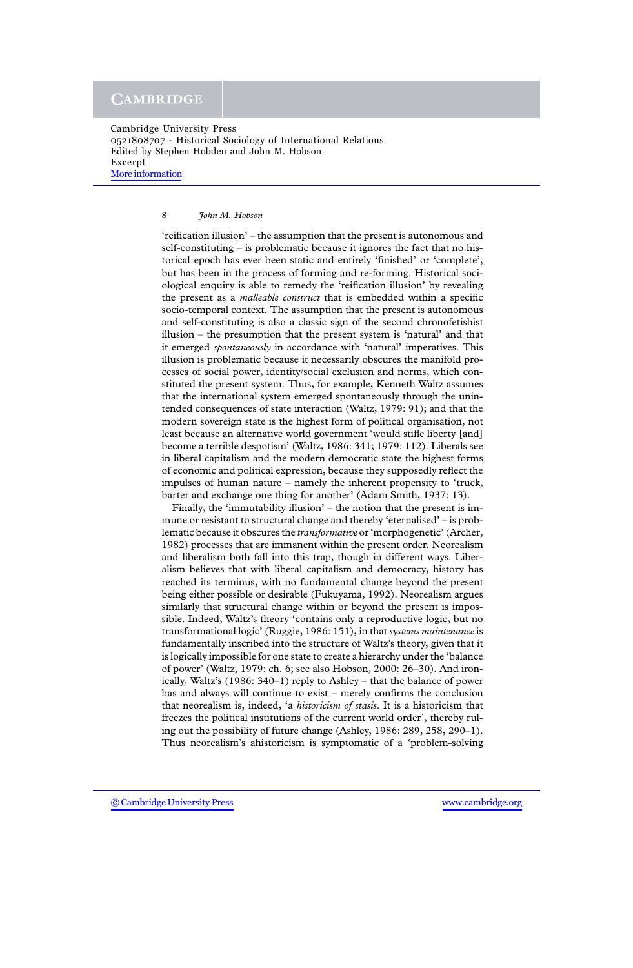## 8 *John M. Hobson*

'reification illusion' – the assumption that the present is autonomous and self-constituting – is problematic because it ignores the fact that no historical epoch has ever been static and entirely 'finished' or 'complete', but has been in the process of forming and re-forming. Historical sociological enquiry is able to remedy the 'reification illusion' by revealing the present as a *malleable construct* that is embedded within a specific socio-temporal context. The assumption that the present is autonomous and self-constituting is also a classic sign of the second chronofetishist illusion – the presumption that the present system is 'natural' and that it emerged *spontaneously* in accordance with 'natural' imperatives. This illusion is problematic because it necessarily obscures the manifold processes of social power, identity/social exclusion and norms, which constituted the present system. Thus, for example, Kenneth Waltz assumes that the international system emerged spontaneously through the unintended consequences of state interaction (Waltz, 1979: 91); and that the modern sovereign state is the highest form of political organisation, not least because an alternative world government 'would stifle liberty [and] become a terrible despotism' (Waltz, 1986: 341; 1979: 112). Liberals see in liberal capitalism and the modern democratic state the highest forms of economic and political expression, because they supposedly reflect the impulses of human nature – namely the inherent propensity to 'truck, barter and exchange one thing for another' (Adam Smith, 1937: 13).

Finally, the 'immutability illusion' – the notion that the present is immune or resistant to structural change and thereby 'eternalised' – is problematic because it obscures the *transformative* or 'morphogenetic' (Archer, 1982) processes that are immanent within the present order. Neorealism and liberalism both fall into this trap, though in different ways. Liberalism believes that with liberal capitalism and democracy, history has reached its terminus, with no fundamental change beyond the present being either possible or desirable (Fukuyama, 1992). Neorealism argues similarly that structural change within or beyond the present is impossible. Indeed, Waltz's theory 'contains only a reproductive logic, but no transformational logic' (Ruggie, 1986: 151), in that *systems maintenance* is fundamentally inscribed into the structure of Waltz's theory, given that it is logically impossible for one state to create a hierarchy under the 'balance of power' (Waltz, 1979: ch. 6; see also Hobson, 2000: 26–30). And ironically, Waltz's (1986: 340–1) reply to Ashley – that the balance of power has and always will continue to exist – merely confirms the conclusion that neorealism is, indeed, 'a *historicism of stasis*. It is a historicism that freezes the political institutions of the current world order', thereby ruling out the possibility of future change (Ashley, 1986: 289, 258, 290–1). Thus neorealism's ahistoricism is symptomatic of a 'problem-solving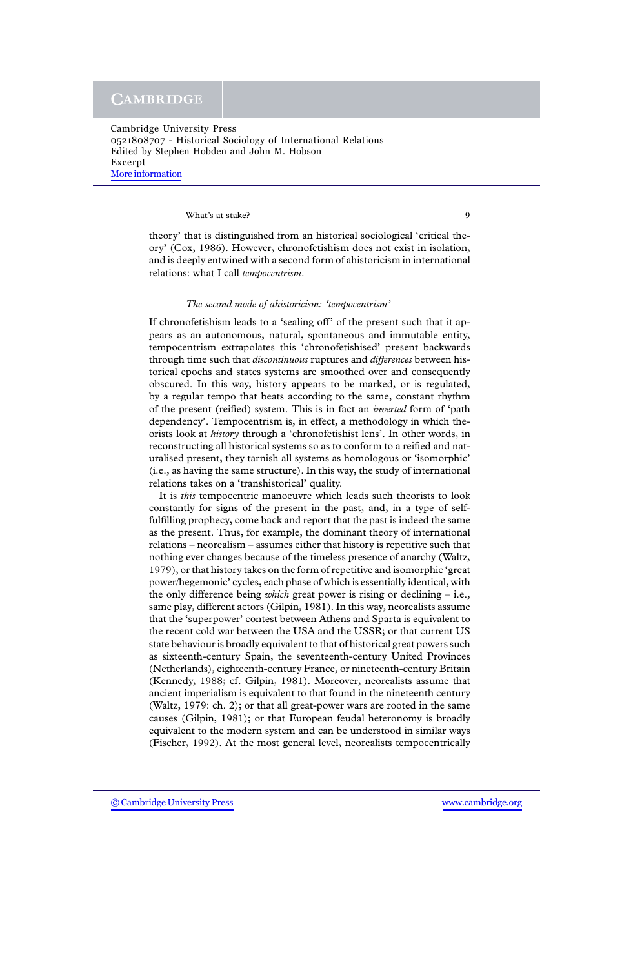#### What's at stake? 9

theory' that is distinguished from an historical sociological 'critical theory' (Cox, 1986). However, chronofetishism does not exist in isolation, and is deeply entwined with a second form of ahistoricism in international relations: what I call *tempocentrism*.

#### *The second mode of ahistoricism: 'tempocentrism'*

If chronofetishism leads to a 'sealing off' of the present such that it appears as an autonomous, natural, spontaneous and immutable entity, tempocentrism extrapolates this 'chronofetishised' present backwards through time such that *discontinuous* ruptures and *differences* between historical epochs and states systems are smoothed over and consequently obscured. In this way, history appears to be marked, or is regulated, by a regular tempo that beats according to the same, constant rhythm of the present (reified) system. This is in fact an *inverted* form of 'path dependency'. Tempocentrism is, in effect, a methodology in which theorists look at *history* through a 'chronofetishist lens'. In other words, in reconstructing all historical systems so as to conform to a reified and naturalised present, they tarnish all systems as homologous or 'isomorphic' (i.e., as having the same structure). In this way, the study of international relations takes on a 'transhistorical' quality.

It is *this* tempocentric manoeuvre which leads such theorists to look constantly for signs of the present in the past, and, in a type of selffulfilling prophecy, come back and report that the past is indeed the same as the present. Thus, for example, the dominant theory of international relations – neorealism – assumes either that history is repetitive such that nothing ever changes because of the timeless presence of anarchy (Waltz, 1979), or that history takes on the form of repetitive and isomorphic 'great power/hegemonic' cycles, each phase of which is essentially identical, with the only difference being *which* great power is rising or declining – i.e., same play, different actors (Gilpin, 1981). In this way, neorealists assume that the 'superpower' contest between Athens and Sparta is equivalent to the recent cold war between the USA and the USSR; or that current US state behaviour is broadly equivalent to that of historical great powers such as sixteenth-century Spain, the seventeenth-century United Provinces (Netherlands), eighteenth-century France, or nineteenth-century Britain (Kennedy, 1988; cf. Gilpin, 1981). Moreover, neorealists assume that ancient imperialism is equivalent to that found in the nineteenth century (Waltz, 1979: ch. 2); or that all great-power wars are rooted in the same causes (Gilpin, 1981); or that European feudal heteronomy is broadly equivalent to the modern system and can be understood in similar ways (Fischer, 1992). At the most general level, neorealists tempocentrically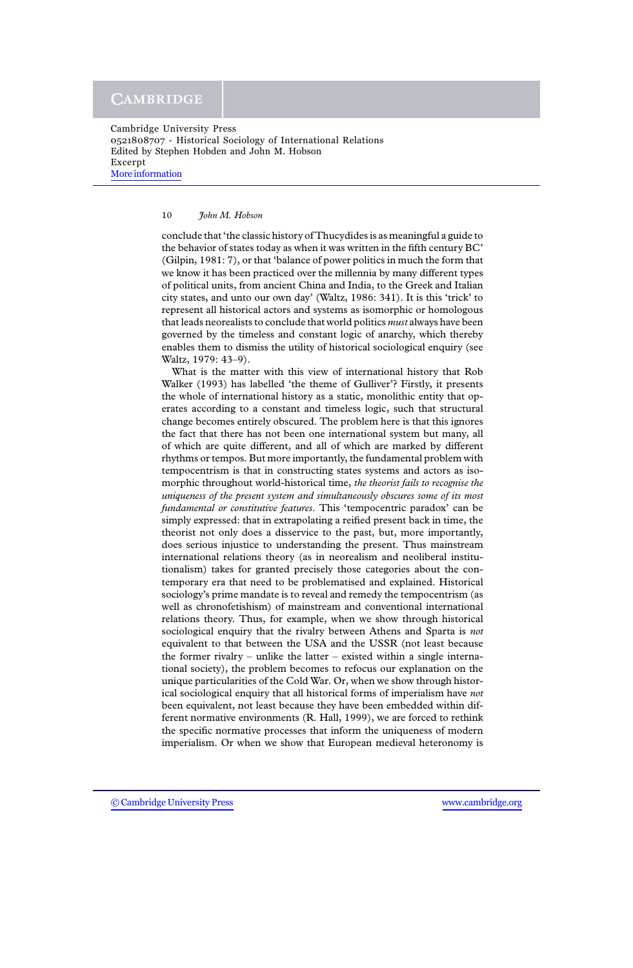## 10 *John M. Hobson*

conclude that 'the classic history of Thucydides is as meaningful a guide to the behavior of states today as when it was written in the fifth century BC' (Gilpin, 1981: 7), or that 'balance of power politics in much the form that we know it has been practiced over the millennia by many different types of political units, from ancient China and India, to the Greek and Italian city states, and unto our own day' (Waltz, 1986: 341). It is this 'trick' to represent all historical actors and systems as isomorphic or homologous that leads neorealists to conclude that world politics *must* always have been governed by the timeless and constant logic of anarchy, which thereby enables them to dismiss the utility of historical sociological enquiry (see Waltz, 1979: 43–9).

What is the matter with this view of international history that Rob Walker (1993) has labelled 'the theme of Gulliver'? Firstly, it presents the whole of international history as a static, monolithic entity that operates according to a constant and timeless logic, such that structural change becomes entirely obscured. The problem here is that this ignores the fact that there has not been one international system but many, all of which are quite different, and all of which are marked by different rhythms or tempos. But more importantly, the fundamental problem with tempocentrism is that in constructing states systems and actors as isomorphic throughout world-historical time, *the theorist fails to recognise the uniqueness of the present system and simultaneously obscures some of its most fundamental or constitutive features*. This 'tempocentric paradox' can be simply expressed: that in extrapolating a reified present back in time, the theorist not only does a disservice to the past, but, more importantly, does serious injustice to understanding the present. Thus mainstream international relations theory (as in neorealism and neoliberal institutionalism) takes for granted precisely those categories about the contemporary era that need to be problematised and explained. Historical sociology's prime mandate is to reveal and remedy the tempocentrism (as well as chronofetishism) of mainstream and conventional international relations theory. Thus, for example, when we show through historical sociological enquiry that the rivalry between Athens and Sparta is *not* equivalent to that between the USA and the USSR (not least because the former rivalry – unlike the latter – existed within a single international society), the problem becomes to refocus our explanation on the unique particularities of the Cold War. Or, when we show through historical sociological enquiry that all historical forms of imperialism have *not* been equivalent, not least because they have been embedded within different normative environments (R. Hall, 1999), we are forced to rethink the specific normative processes that inform the uniqueness of modern imperialism. Or when we show that European medieval heteronomy is